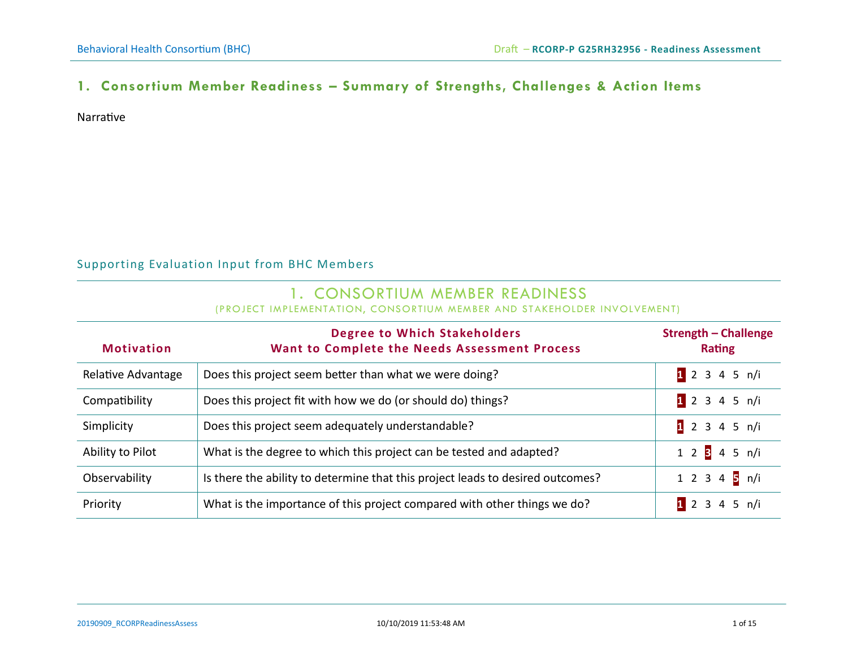## **1. Consortium Member Readiness – Summary of Strengths, Challenges & Action Items**

Narrative

#### Supporting Evaluation Input from BHC Members

# 1. CONSORTIUM MEMBER READINESS

(PROJECT IMPLEMENTATION, CONSORTIUM MEMBER AND STAKEHOLDER INVOLVEMENT)

| <b>Motivation</b>  | <b>Degree to Which Stakeholders</b><br>Want to Complete the Needs Assessment Process | <b>Strength - Challenge</b><br><b>Rating</b> |
|--------------------|--------------------------------------------------------------------------------------|----------------------------------------------|
| Relative Advantage | Does this project seem better than what we were doing?                               | 12345 n/i                                    |
| Compatibility      | Does this project fit with how we do (or should do) things?                          | 12345 n/i                                    |
| Simplicity         | Does this project seem adequately understandable?                                    | 12345 n/i                                    |
| Ability to Pilot   | What is the degree to which this project can be tested and adapted?                  | 1 2 3 4 5 n/i                                |
| Observability      | Is there the ability to determine that this project leads to desired outcomes?       | 1 2 3 4 5 n/i                                |
| Priority           | What is the importance of this project compared with other things we do?             | 12345 n/i                                    |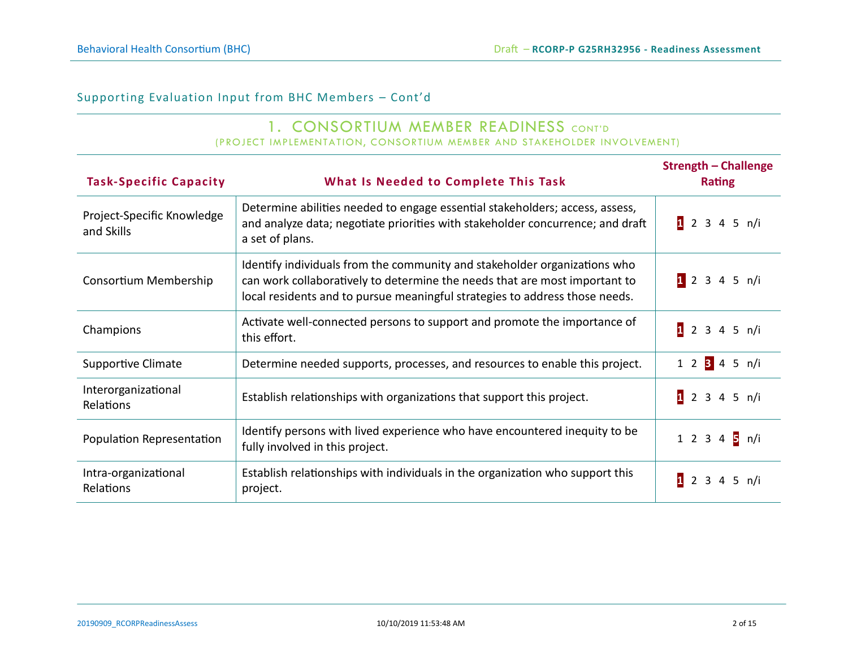#### 1. CONSORTIUM MEMBER READINESS CONT'D (PROJECT IMPLEMENTATION, CONSORTIUM MEMBER AND STAKEHOLDER INVOLVEMENT)

| <b>Task-Specific Capacity</b>            | What Is Needed to Complete This Task                                                                                                                                                                                                   | <b>Strength - Challenge</b><br><b>Rating</b> |
|------------------------------------------|----------------------------------------------------------------------------------------------------------------------------------------------------------------------------------------------------------------------------------------|----------------------------------------------|
| Project-Specific Knowledge<br>and Skills | Determine abilities needed to engage essential stakeholders; access, assess,<br>and analyze data; negotiate priorities with stakeholder concurrence; and draft<br>a set of plans.                                                      | 12345 n/i                                    |
| Consortium Membership                    | Identify individuals from the community and stakeholder organizations who<br>can work collaboratively to determine the needs that are most important to<br>local residents and to pursue meaningful strategies to address those needs. | 12345 n/i                                    |
| Champions                                | Activate well-connected persons to support and promote the importance of<br>this effort.                                                                                                                                               | 12345 n/i                                    |
| <b>Supportive Climate</b>                | Determine needed supports, processes, and resources to enable this project.                                                                                                                                                            | 1 2 3 4 5 n/i                                |
| Interorganizational<br><b>Relations</b>  | Establish relationships with organizations that support this project.                                                                                                                                                                  | 12345 n/i                                    |
| Population Representation                | Identify persons with lived experience who have encountered inequity to be<br>fully involved in this project.                                                                                                                          | 1 2 3 4 5 n/i                                |
| Intra-organizational<br><b>Relations</b> | Establish relationships with individuals in the organization who support this<br>project.                                                                                                                                              | 12345 n/i                                    |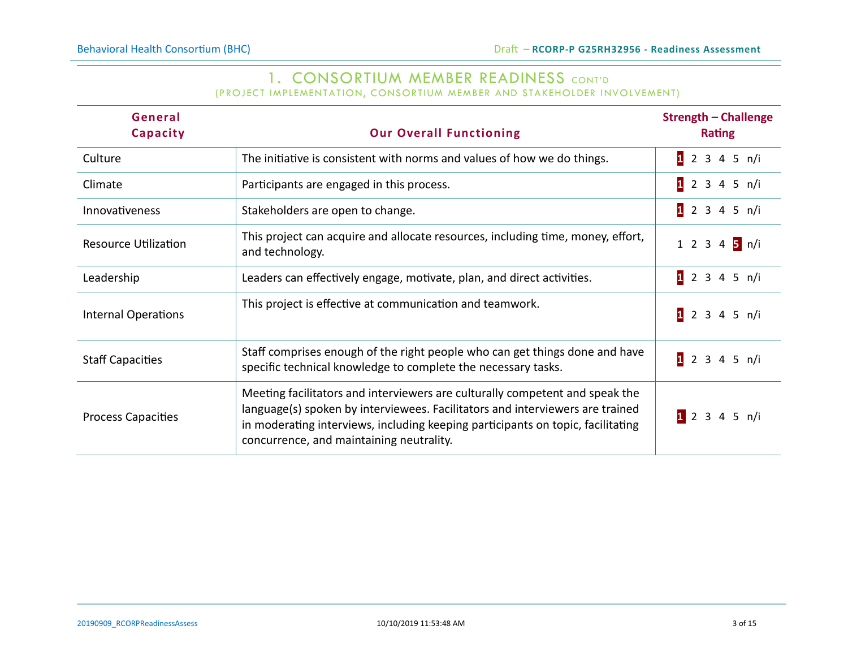# 1. CONSORTIUM MEMBER READINESS CONT'D

(PROJECT IMPLEMENTATION, CONSORTIUM MEMBER AND STAKEHOLDER INVOLVEMENT)

| General<br>Capacity         | <b>Our Overall Functioning</b>                                                                                                                                                                                                                                                               | <b>Strength - Challenge</b><br><b>Rating</b> |
|-----------------------------|----------------------------------------------------------------------------------------------------------------------------------------------------------------------------------------------------------------------------------------------------------------------------------------------|----------------------------------------------|
| Culture                     | The initiative is consistent with norms and values of how we do things.                                                                                                                                                                                                                      | 12345 n/i                                    |
| Climate                     | Participants are engaged in this process.                                                                                                                                                                                                                                                    | 12345 n/i                                    |
| Innovativeness              | Stakeholders are open to change.                                                                                                                                                                                                                                                             | $12$ 3 4 5 n/i                               |
| <b>Resource Utilization</b> | This project can acquire and allocate resources, including time, money, effort,<br>and technology.                                                                                                                                                                                           | 1 2 3 4 5 n/i                                |
| Leadership                  | Leaders can effectively engage, motivate, plan, and direct activities.                                                                                                                                                                                                                       | $12$ 3 4 5 n/i                               |
| <b>Internal Operations</b>  | This project is effective at communication and teamwork.                                                                                                                                                                                                                                     | 12345 n/i                                    |
| <b>Staff Capacities</b>     | Staff comprises enough of the right people who can get things done and have<br>specific technical knowledge to complete the necessary tasks.                                                                                                                                                 | 1 2 3 4 5 n/i                                |
| <b>Process Capacities</b>   | Meeting facilitators and interviewers are culturally competent and speak the<br>language(s) spoken by interviewees. Facilitators and interviewers are trained<br>in moderating interviews, including keeping participants on topic, facilitating<br>concurrence, and maintaining neutrality. | 12345 n/i                                    |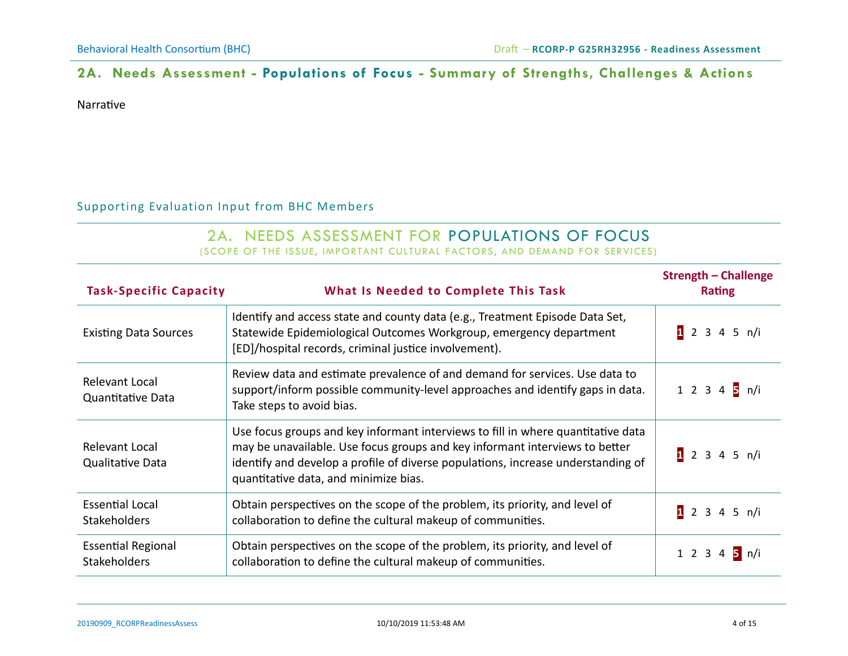## **2A. Needs Assessment - Populations of Focus - Summary of Strengths, Challenges & Actions**

Narrative

#### Supporting Evaluation Input from BHC Members

#### 2A. NEEDS ASSESSMENT FOR POPULATIONS OF FOCUS (SCOPE OF THE ISSUE, IMPORTANT CULTURAL FACTORS, AND DEMAND FOR SERVICES)

| <b>Task-Specific Capacity</b>                    | What Is Needed to Complete This Task                                                                                                                                                                                                                                                         | <b>Strength - Challenge</b><br><b>Rating</b> |
|--------------------------------------------------|----------------------------------------------------------------------------------------------------------------------------------------------------------------------------------------------------------------------------------------------------------------------------------------------|----------------------------------------------|
| <b>Existing Data Sources</b>                     | Identify and access state and county data (e.g., Treatment Episode Data Set,<br>Statewide Epidemiological Outcomes Workgroup, emergency department<br>[ED]/hospital records, criminal justice involvement).                                                                                  | 12345 n/i                                    |
| Relevant Local<br><b>Quantitative Data</b>       | Review data and estimate prevalence of and demand for services. Use data to<br>support/inform possible community-level approaches and identify gaps in data.<br>Take steps to avoid bias.                                                                                                    | 1 2 3 4 5 n/i                                |
| Relevant Local<br><b>Qualitative Data</b>        | Use focus groups and key informant interviews to fill in where quantitative data<br>may be unavailable. Use focus groups and key informant interviews to better<br>identify and develop a profile of diverse populations, increase understanding of<br>quantitative data, and minimize bias. | 12345 n/i                                    |
| <b>Essential Local</b><br>Stakeholders           | Obtain perspectives on the scope of the problem, its priority, and level of<br>collaboration to define the cultural makeup of communities.                                                                                                                                                   | 12345 n/i                                    |
| <b>Essential Regional</b><br><b>Stakeholders</b> | Obtain perspectives on the scope of the problem, its priority, and level of<br>collaboration to define the cultural makeup of communities.                                                                                                                                                   | 1 2 3 4 5 n/i                                |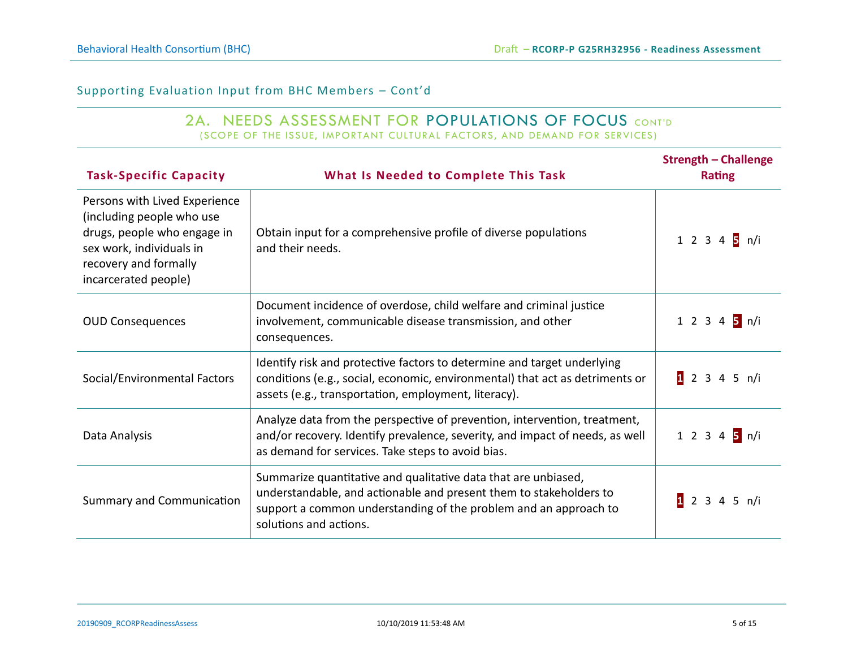# 2A. NEEDS ASSESSMENT FOR POPULATIONS OF FOCUS CONT'D

(SCOPE OF THE ISSUE, IMPORTANT CULTURAL FACTORS, AND DEMAND FOR SERVICES)

| <b>Task-Specific Capacity</b>                                                                                                                                          | What Is Needed to Complete This Task                                                                                                                                                                                               | <b>Strength - Challenge</b><br><b>Rating</b> |
|------------------------------------------------------------------------------------------------------------------------------------------------------------------------|------------------------------------------------------------------------------------------------------------------------------------------------------------------------------------------------------------------------------------|----------------------------------------------|
| Persons with Lived Experience<br>(including people who use<br>drugs, people who engage in<br>sex work, individuals in<br>recovery and formally<br>incarcerated people) | Obtain input for a comprehensive profile of diverse populations<br>and their needs.                                                                                                                                                | 1 2 3 4 5 n/i                                |
| <b>OUD Consequences</b>                                                                                                                                                | Document incidence of overdose, child welfare and criminal justice<br>involvement, communicable disease transmission, and other<br>consequences.                                                                                   | 1 2 3 4 5 n/i                                |
| Social/Environmental Factors                                                                                                                                           | Identify risk and protective factors to determine and target underlying<br>conditions (e.g., social, economic, environmental) that act as detriments or<br>assets (e.g., transportation, employment, literacy).                    | 12345 n/i                                    |
| Data Analysis                                                                                                                                                          | Analyze data from the perspective of prevention, intervention, treatment,<br>and/or recovery. Identify prevalence, severity, and impact of needs, as well<br>as demand for services. Take steps to avoid bias.                     | 1 2 3 4 5 n/i                                |
| Summary and Communication                                                                                                                                              | Summarize quantitative and qualitative data that are unbiased,<br>understandable, and actionable and present them to stakeholders to<br>support a common understanding of the problem and an approach to<br>solutions and actions. | 1 2 3 4 5 n/i                                |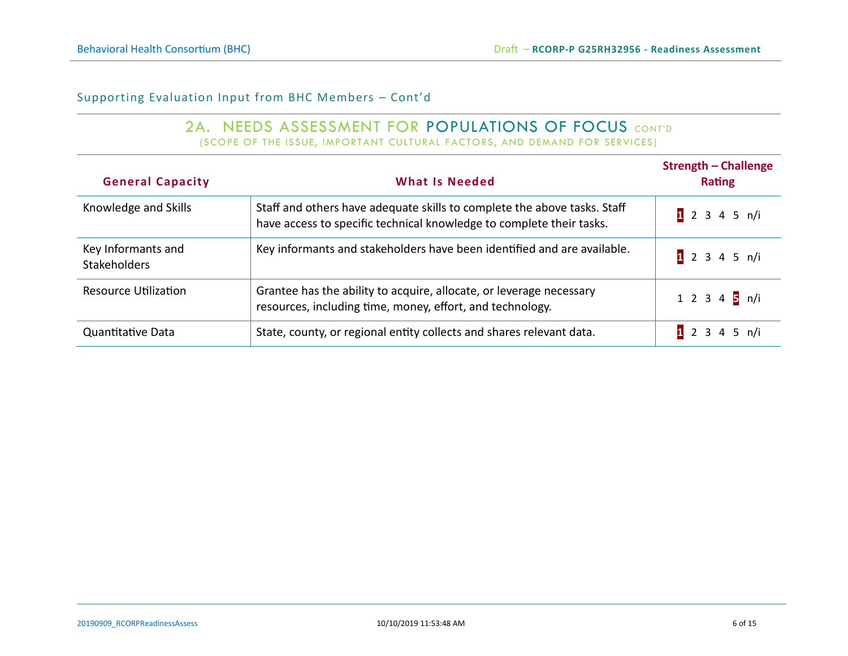#### 2A. NEEDS ASSESSMENT FOR POPULATIONS OF FOCUS CONT'D (SCOPE OF THE ISSUE, IMPORTANT CULTURAL FACTORS, AND DEMAND FOR SERVICES)

| <b>General Capacity</b>                   | <b>What Is Needed</b>                                                                                                                            | <b>Strength - Challenge</b><br><b>Rating</b> |
|-------------------------------------------|--------------------------------------------------------------------------------------------------------------------------------------------------|----------------------------------------------|
| Knowledge and Skills                      | Staff and others have adequate skills to complete the above tasks. Staff<br>have access to specific technical knowledge to complete their tasks. | 1 2 3 4 5 n/i                                |
| Key Informants and<br><b>Stakeholders</b> | Key informants and stakeholders have been identified and are available.                                                                          | 1 2 3 4 5 n/i                                |
| <b>Resource Utilization</b>               | Grantee has the ability to acquire, allocate, or leverage necessary<br>resources, including time, money, effort, and technology.                 | 1 2 3 4 $\frac{1}{5}$ n/i                    |
| Quantitative Data                         | State, county, or regional entity collects and shares relevant data.                                                                             | 12345 n/i                                    |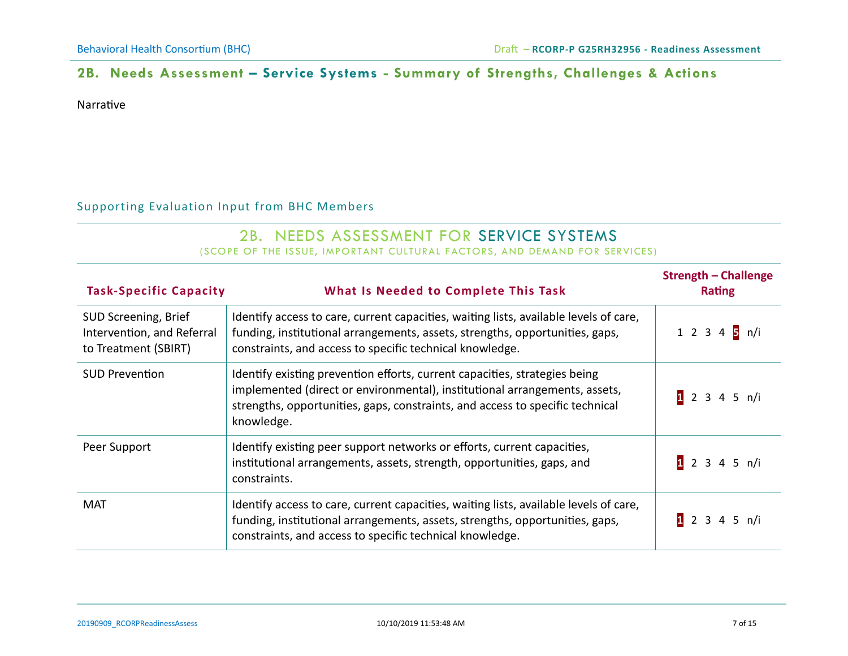## **2B. Needs Assessment – Service Systems - Summary of Strengths, Challenges & Actions**

Narrative

#### Supporting Evaluation Input from BHC Members

#### 2B. NEEDS ASSESSMENT FOR SERVICE SYSTEMS (SCOPE OF THE ISSUE, IMPORTANT CULTURAL FACTORS, AND DEMAND FOR SERVICES)

| <b>Task-Specific Capacity</b>                                              | What Is Needed to Complete This Task                                                                                                                                                                                                                    | <b>Strength - Challenge</b><br><b>Rating</b> |
|----------------------------------------------------------------------------|---------------------------------------------------------------------------------------------------------------------------------------------------------------------------------------------------------------------------------------------------------|----------------------------------------------|
| SUD Screening, Brief<br>Intervention, and Referral<br>to Treatment (SBIRT) | Identify access to care, current capacities, waiting lists, available levels of care,<br>funding, institutional arrangements, assets, strengths, opportunities, gaps,<br>constraints, and access to specific technical knowledge.                       | 1 2 3 4 $\frac{1}{5}$ n/i                    |
| <b>SUD Prevention</b>                                                      | Identify existing prevention efforts, current capacities, strategies being<br>implemented (direct or environmental), institutional arrangements, assets,<br>strengths, opportunities, gaps, constraints, and access to specific technical<br>knowledge. | 12345 n/i                                    |
| Peer Support                                                               | Identify existing peer support networks or efforts, current capacities,<br>institutional arrangements, assets, strength, opportunities, gaps, and<br>constraints.                                                                                       | 12345 n/i                                    |
| MAT                                                                        | Identify access to care, current capacities, waiting lists, available levels of care,<br>funding, institutional arrangements, assets, strengths, opportunities, gaps,<br>constraints, and access to specific technical knowledge.                       | 12345 n/i                                    |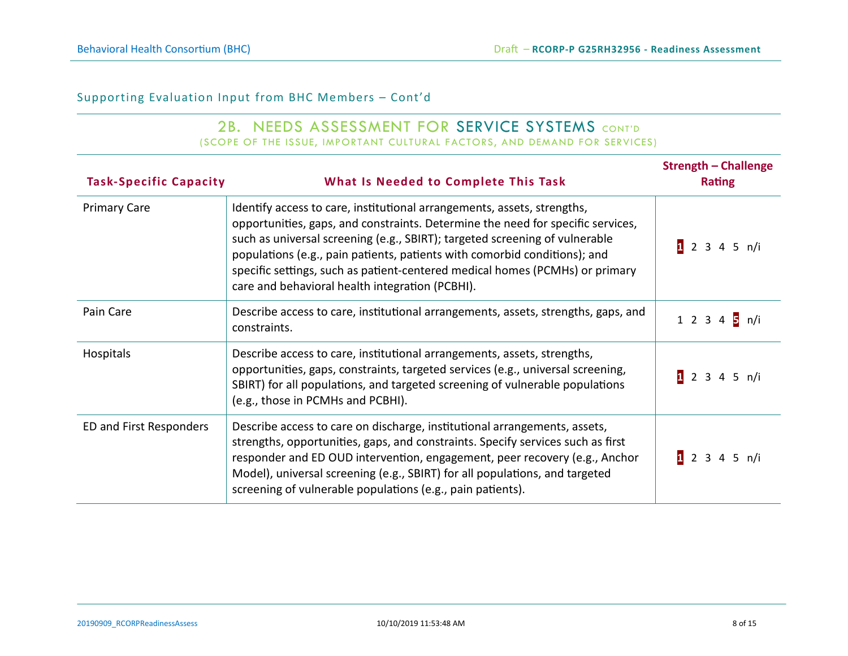#### 2B. NEEDS ASSESSMENT FOR SERVICE SYSTEMS CONT'D (SCOPE OF THE ISSUE, IMPORTANT CULTURAL FACTORS, AND DEMAND FOR SERVICES)

| <b>Task-Specific Capacity</b> | What Is Needed to Complete This Task                                                                                                                                                                                                                                                                                                                                                                                                                      | <b>Strength - Challenge</b><br><b>Rating</b> |
|-------------------------------|-----------------------------------------------------------------------------------------------------------------------------------------------------------------------------------------------------------------------------------------------------------------------------------------------------------------------------------------------------------------------------------------------------------------------------------------------------------|----------------------------------------------|
| <b>Primary Care</b>           | Identify access to care, institutional arrangements, assets, strengths,<br>opportunities, gaps, and constraints. Determine the need for specific services,<br>such as universal screening (e.g., SBIRT); targeted screening of vulnerable<br>populations (e.g., pain patients, patients with comorbid conditions); and<br>specific settings, such as patient-centered medical homes (PCMHs) or primary<br>care and behavioral health integration (PCBHI). | 12345 n/i                                    |
| Pain Care                     | Describe access to care, institutional arrangements, assets, strengths, gaps, and<br>constraints.                                                                                                                                                                                                                                                                                                                                                         | 1 2 3 4 5 n/i                                |
| Hospitals                     | Describe access to care, institutional arrangements, assets, strengths,<br>opportunities, gaps, constraints, targeted services (e.g., universal screening,<br>SBIRT) for all populations, and targeted screening of vulnerable populations<br>(e.g., those in PCMHs and PCBHI).                                                                                                                                                                           | 12345 n/i                                    |
| ED and First Responders       | Describe access to care on discharge, institutional arrangements, assets,<br>strengths, opportunities, gaps, and constraints. Specify services such as first<br>responder and ED OUD intervention, engagement, peer recovery (e.g., Anchor<br>Model), universal screening (e.g., SBIRT) for all populations, and targeted<br>screening of vulnerable populations (e.g., pain patients).                                                                   | 12345 n/i                                    |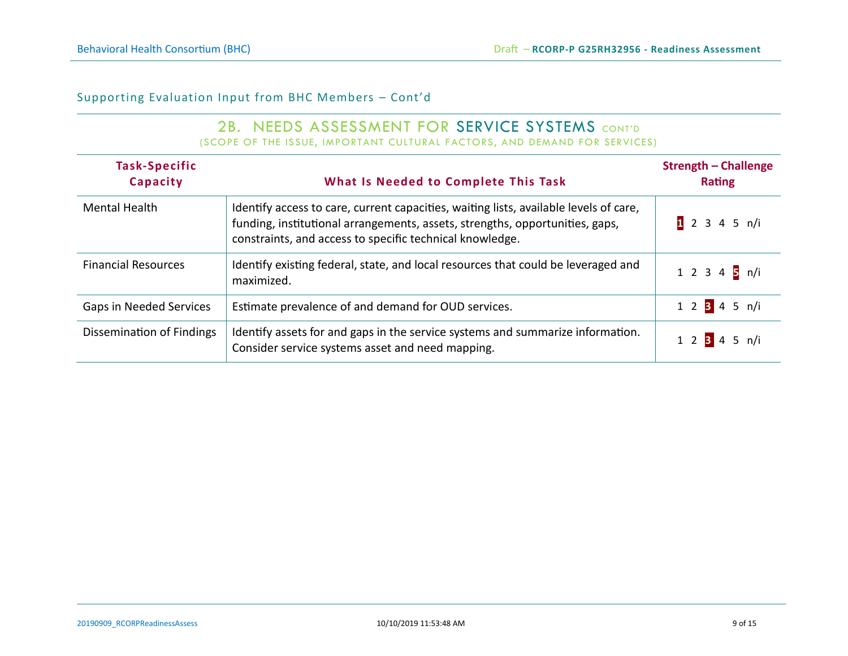#### 2B. NEEDS ASSESSMENT FOR SERVICE SYSTEMS CONT'D (SCOPE OF THE ISSUE, IMPORTANT CULTURAL FACTORS, AND DEMAND FOR SERVICES)

| Task-Specific<br>Capacity      | What Is Needed to Complete This Task                                                                                                                                                                                              | <b>Strength - Challenge</b><br><b>Rating</b> |
|--------------------------------|-----------------------------------------------------------------------------------------------------------------------------------------------------------------------------------------------------------------------------------|----------------------------------------------|
| <b>Mental Health</b>           | Identify access to care, current capacities, waiting lists, available levels of care,<br>funding, institutional arrangements, assets, strengths, opportunities, gaps,<br>constraints, and access to specific technical knowledge. | 12345 n/i                                    |
| <b>Financial Resources</b>     | Identify existing federal, state, and local resources that could be leveraged and<br>maximized.                                                                                                                                   | 1 2 3 4 5 n/i                                |
| <b>Gaps in Needed Services</b> | Estimate prevalence of and demand for OUD services.                                                                                                                                                                               | 1 2 3 4 5 n/i                                |
| Dissemination of Findings      | Identify assets for and gaps in the service systems and summarize information.<br>Consider service systems asset and need mapping.                                                                                                | 1 2 3 4 5 n/i                                |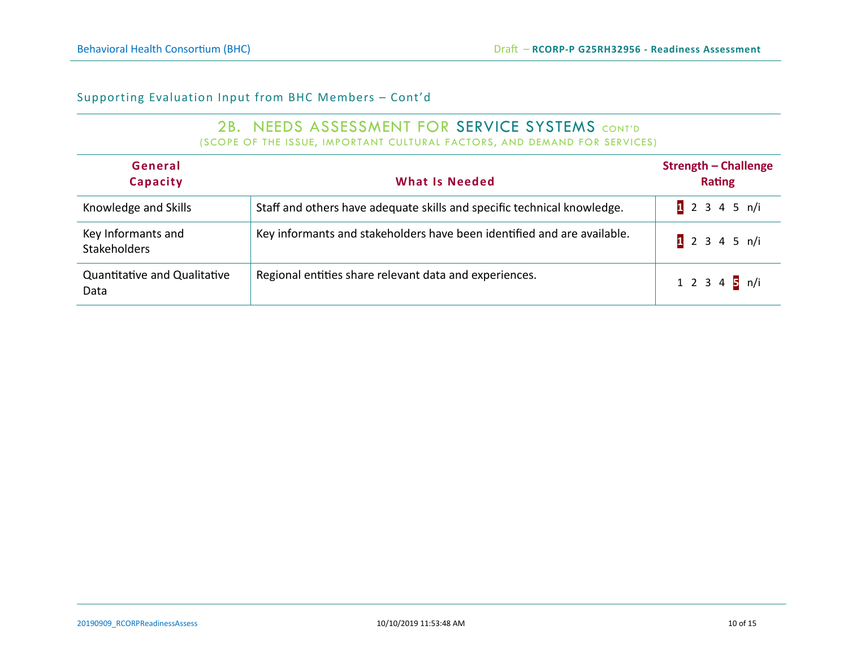#### 2B. NEEDS ASSESSMENT FOR SERVICE SYSTEMS CONT'D (SCOPE OF THE ISSUE, IMPORTANT CULTURAL FACTORS, AND DEMAND FOR SERVICES)

| General<br>Capacity                         | <b>What Is Needed</b>                                                   | <b>Strength - Challenge</b><br><b>Rating</b> |
|---------------------------------------------|-------------------------------------------------------------------------|----------------------------------------------|
| Knowledge and Skills                        | Staff and others have adequate skills and specific technical knowledge. | 1 2 3 4 5 n/i                                |
| Key Informants and<br><b>Stakeholders</b>   | Key informants and stakeholders have been identified and are available. | 1 2 3 4 5 n/i                                |
| <b>Quantitative and Qualitative</b><br>Data | Regional entities share relevant data and experiences.                  | 1 2 3 4 5 n/i                                |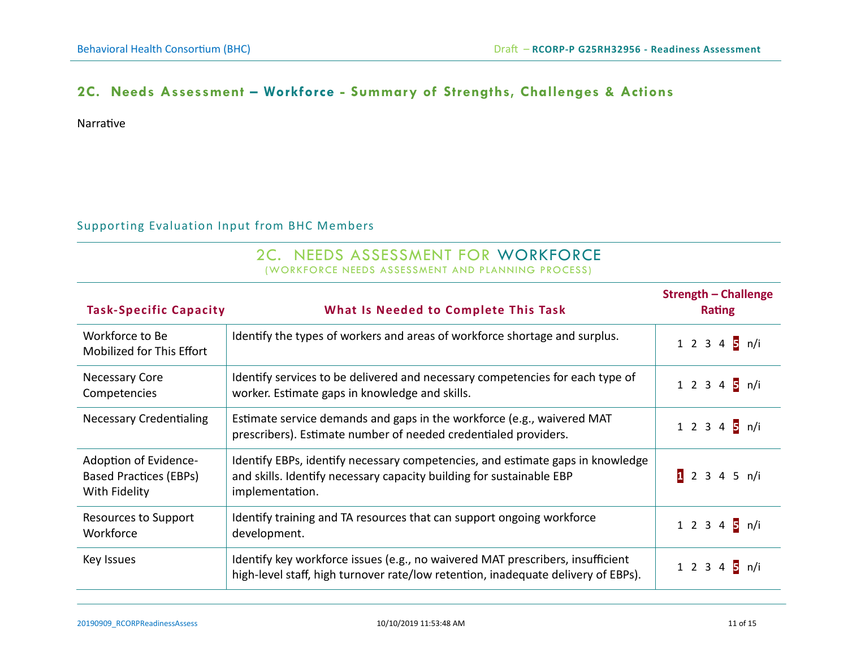### **2C. Needs Assessment – Workforce - Summary of Strengths, Challenges & Actions**

Narrative

#### Supporting Evaluation Input from BHC Members

#### 2C. NEEDS ASSESSMENT FOR WORKFORCE (WORKFORCE NEEDS ASSESSMENT AND PLANNING PROCESS)

| <b>Task-Specific Capacity</b>                                           | What Is Needed to Complete This Task                                                                                                                                      | <b>Strength - Challenge</b><br><b>Rating</b> |
|-------------------------------------------------------------------------|---------------------------------------------------------------------------------------------------------------------------------------------------------------------------|----------------------------------------------|
| Workforce to Be<br>Mobilized for This Effort                            | Identify the types of workers and areas of workforce shortage and surplus.                                                                                                | 1 2 3 4 5 n/i                                |
| <b>Necessary Core</b><br>Competencies                                   | Identify services to be delivered and necessary competencies for each type of<br>worker. Estimate gaps in knowledge and skills.                                           | 1 2 3 4 5 n/i                                |
| <b>Necessary Credentialing</b>                                          | Estimate service demands and gaps in the workforce (e.g., waivered MAT<br>prescribers). Estimate number of needed credentialed providers.                                 | 1 2 3 4 5 n/i                                |
| Adoption of Evidence-<br><b>Based Practices (EBPs)</b><br>With Fidelity | Identify EBPs, identify necessary competencies, and estimate gaps in knowledge<br>and skills. Identify necessary capacity building for sustainable EBP<br>implementation. | 12345 n/i                                    |
| Resources to Support<br>Workforce                                       | Identify training and TA resources that can support ongoing workforce<br>development.                                                                                     | 1 2 3 4 5 n/i                                |
| Key Issues                                                              | Identify key workforce issues (e.g., no waivered MAT prescribers, insufficient<br>high-level staff, high turnover rate/low retention, inadequate delivery of EBPs).       | 1 2 3 4 5 n/i                                |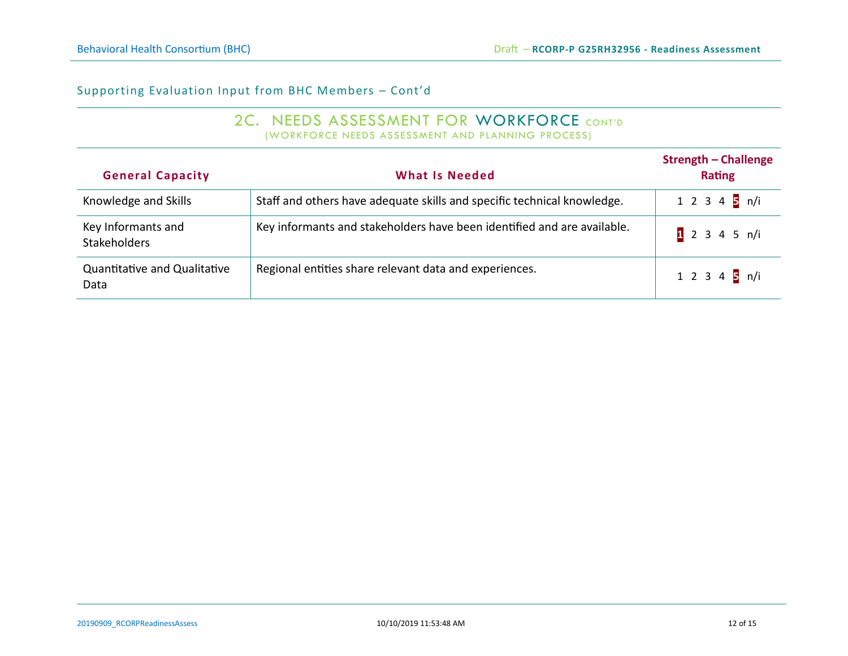#### 2C. NEEDS ASSESSMENT FOR WORKFORCE CONT'D (WORKFORCE NEEDS ASSESSMENT AND PLANNING PROCESS)

| <b>General Capacity</b>                     | <b>What Is Needed</b>                                                   | <b>Strength - Challenge</b><br><b>Rating</b> |
|---------------------------------------------|-------------------------------------------------------------------------|----------------------------------------------|
| Knowledge and Skills                        | Staff and others have adequate skills and specific technical knowledge. | 1 2 3 4 $\frac{1}{5}$ n/i                    |
| Key Informants and<br><b>Stakeholders</b>   | Key informants and stakeholders have been identified and are available. | 1 2 3 4 5 n/i                                |
| <b>Quantitative and Qualitative</b><br>Data | Regional entities share relevant data and experiences.                  | 1 2 3 4 5 n/i                                |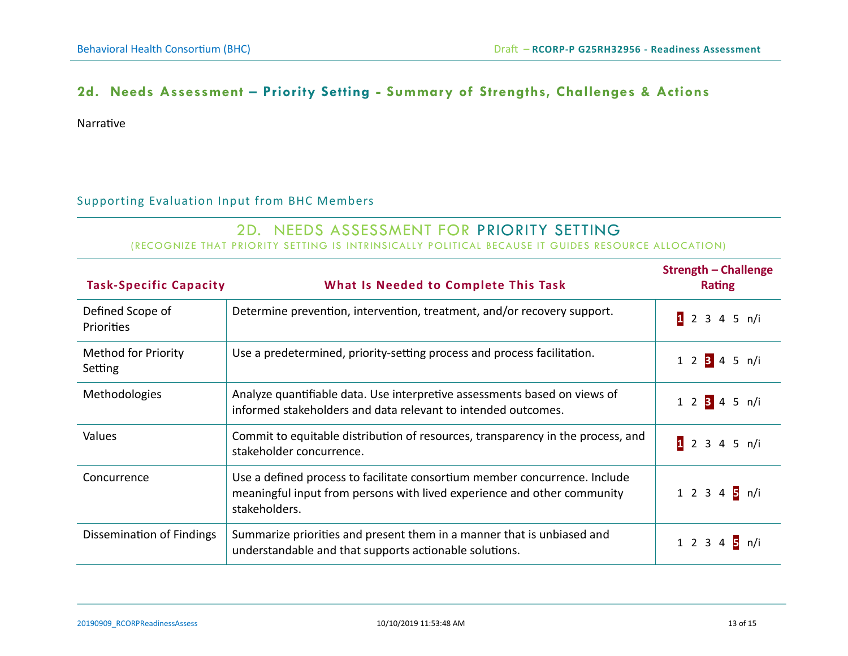# **2d. Needs Assessment – Priority Setting - Summary of Strengths, Challenges & Actions**

Narrative

#### Supporting Evaluation Input from BHC Members

# 2D. NEEDS ASSESSMENT FOR PRIORITY SETTING

(RECOGNIZE THAT PRIORITY SETTING IS INTRINSICALLY POLITICAL BECAUSE IT GUIDES RESOURCE ALLOCATION)

| <b>Task-Specific Capacity</b>         | What Is Needed to Complete This Task                                                                                                                                   | <b>Strength - Challenge</b><br><b>Rating</b> |
|---------------------------------------|------------------------------------------------------------------------------------------------------------------------------------------------------------------------|----------------------------------------------|
| Defined Scope of<br>Priorities        | Determine prevention, intervention, treatment, and/or recovery support.                                                                                                | 12345 n/i                                    |
| <b>Method for Priority</b><br>Setting | Use a predetermined, priority-setting process and process facilitation.                                                                                                | 1 2 3 4 5 n/i                                |
| <b>Methodologies</b>                  | Analyze quantifiable data. Use interpretive assessments based on views of<br>informed stakeholders and data relevant to intended outcomes.                             | 1 2 3 4 5 n/i                                |
| Values                                | Commit to equitable distribution of resources, transparency in the process, and<br>stakeholder concurrence.                                                            | 1 2 3 4 5 n/i                                |
| Concurrence                           | Use a defined process to facilitate consortium member concurrence. Include<br>meaningful input from persons with lived experience and other community<br>stakeholders. | 1 2 3 4 5 n/i                                |
| Dissemination of Findings             | Summarize priorities and present them in a manner that is unbiased and<br>understandable and that supports actionable solutions.                                       | 1 2 3 4 5 n/i                                |